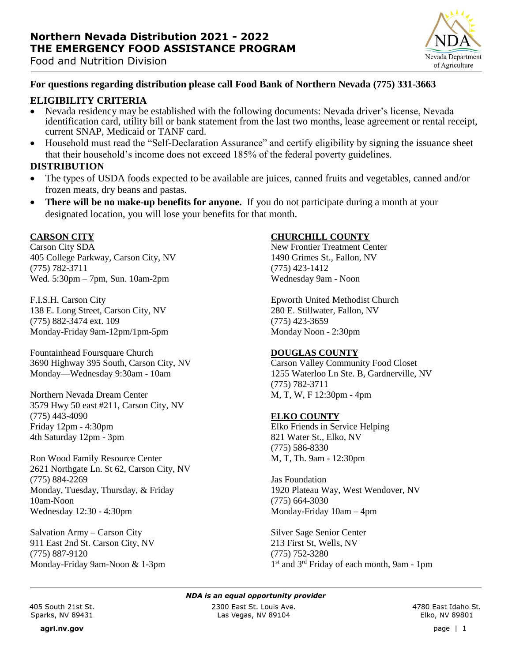



### **For questions regarding distribution please call Food Bank of Northern Nevada (775) 331-3663**

#### **ELIGIBILITY CRITERIA**

- Nevada residency may be established with the following documents: Nevada driver's license, Nevada identification card, utility bill or bank statement from the last two months, lease agreement or rental receipt, current SNAP, Medicaid or TANF card.
- Household must read the "Self-Declaration Assurance" and certify eligibility by signing the issuance sheet that their household's income does not exceed 185% of the federal poverty guidelines.

#### **DISTRIBUTION**

- The types of USDA foods expected to be available are juices, canned fruits and vegetables, canned and/or frozen meats, dry beans and pastas.
- **There will be no make-up benefits for anyone.** If you do not participate during a month at your designated location, you will lose your benefits for that month.

#### **CARSON CITY**

Carson City SDA 405 College Parkway, Carson City, NV (775) 782-3711 Wed. 5:30pm – 7pm, Sun. 10am-2pm

F.I.S.H. Carson City 138 E. Long Street, Carson City, NV (775) 882-3474 ext. 109 Monday-Friday 9am-12pm/1pm-5pm

Fountainhead Foursquare Church 3690 Highway 395 South, Carson City, NV Monday—Wednesday 9:30am - 10am

Northern Nevada Dream Center 3579 Hwy 50 east #211, Carson City, NV (775) 443-4090 Friday 12pm - 4:30pm 4th Saturday 12pm - 3pm

Ron Wood Family Resource Center 2621 Northgate Ln. St 62, Carson City, NV (775) 884-2269 Monday, Tuesday, Thursday, & Friday 10am-Noon Wednesday 12:30 - 4:30pm

Salvation Army – Carson City 911 East 2nd St. Carson City, NV (775) 887-9120 Monday-Friday 9am-Noon & 1-3pm

### **CHURCHILL COUNTY**

New Frontier Treatment Center 1490 Grimes St., Fallon, NV (775) 423-1412 Wednesday 9am - Noon

Epworth United Methodist Church 280 E. Stillwater, Fallon, NV (775) 423-3659 Monday Noon - 2:30pm

#### **DOUGLAS COUNTY**

Carson Valley Community Food Closet 1255 Waterloo Ln Ste. B, Gardnerville, NV (775) 782-3711 M, T, W, F 12:30pm - 4pm

#### **ELKO COUNTY**

Elko Friends in Service Helping 821 Water St., Elko, NV (775) 586-8330 M, T, Th. 9am - 12:30pm

Jas Foundation 1920 Plateau Way, West Wendover, NV (775) 664-3030 Monday-Friday 10am – 4pm

Silver Sage Senior Center 213 First St, Wells, NV (775) 752-3280 1<sup>st</sup> and 3<sup>rd</sup> Friday of each month, 9am - 1pm

*NDA is an equal opportunity provider*

405 South 21st St. Sparks, NV 89431

2300 East St. Louis Ave. Las Vegas, NV 89104

4780 East Idaho St. Elko, NV 89801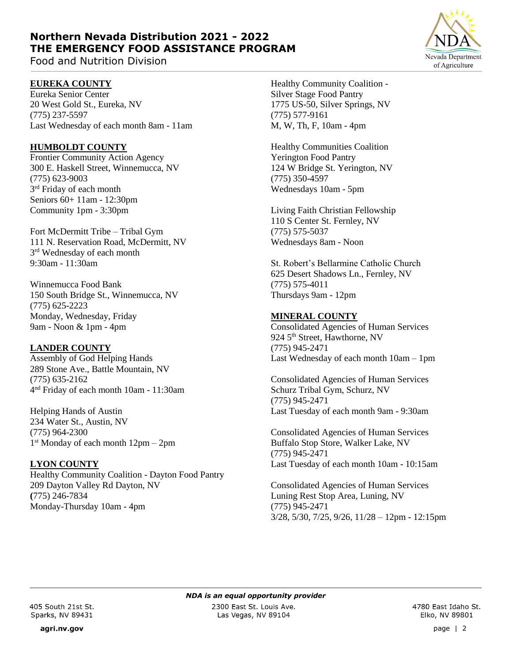# **Northern Nevada Distribution 2021 - 2022 THE EMERGENCY FOOD ASSISTANCE PROGRAM**

Food and Nutrition Division

## **EUREKA COUNTY**

Eureka Senior Center 20 West Gold St., Eureka, NV (775) 237-5597 Last Wednesday of each month 8am - 11am

### **HUMBOLDT COUNTY**

Frontier Community Action Agency 300 E. Haskell Street, Winnemucca, NV (775) 623-9003 3<sup>rd</sup> Friday of each month Seniors 60+ 11am - 12:30pm Community 1pm - 3:30pm

Fort McDermitt Tribe – Tribal Gym 111 N. Reservation Road, McDermitt, NV 3<sup>rd</sup> Wednesday of each month 9:30am - 11:30am

Winnemucca Food Bank 150 South Bridge St., Winnemucca, NV (775) 625-2223 Monday, Wednesday, Friday 9am - Noon & 1pm - 4pm

### **LANDER COUNTY**

Assembly of God Helping Hands 289 Stone Ave., Battle Mountain, NV (775) 635-2162 4 nd Friday of each month 10am - 11:30am

Helping Hands of Austin 234 Water St., Austin, NV (775) 964-2300 1 st Monday of each month 12pm – 2pm

### **LYON COUNTY**

Healthy Community Coalition - Dayton Food Pantry 209 Dayton Valley Rd Dayton, NV **(**775) 246-7834 Monday-Thursday 10am - 4pm

Healthy Community Coalition - Silver Stage Food Pantry 1775 US-50, Silver Springs, NV (775) 577-9161 M, W, Th, F, 10am - 4pm

Healthy Communities Coalition Yerington Food Pantry 124 W Bridge St. Yerington, NV (775) 350-4597 Wednesdays 10am - 5pm

Living Faith Christian Fellowship 110 S Center St. Fernley, NV (775) 575-5037 Wednesdays 8am - Noon

St. Robert's Bellarmine Catholic Church 625 Desert Shadows Ln., Fernley, NV (775) 575-4011 Thursdays 9am - 12pm

### **MINERAL COUNTY**

Consolidated Agencies of Human Services 924 5<sup>th</sup> Street, Hawthorne, NV (775) 945-2471 Last Wednesday of each month 10am – 1pm

Consolidated Agencies of Human Services Schurz Tribal Gym, Schurz, NV (775) 945-2471 Last Tuesday of each month 9am - 9:30am

Consolidated Agencies of Human Services Buffalo Stop Store, Walker Lake, NV (775) 945-2471 Last Tuesday of each month 10am - 10:15am

Consolidated Agencies of Human Services Luning Rest Stop Area, Luning, NV (775) 945-2471 3/28, 5/30, 7/25, 9/26, 11/28 – 12pm - 12:15pm

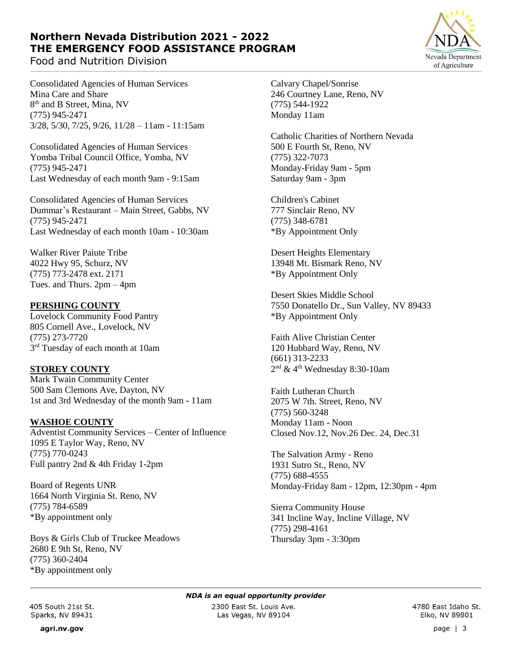# **Northern Nevada Distribution 2021 - 2022 THE EMERGENCY FOOD ASSISTANCE PROGRAM**

Food and Nutrition Division

Nevada Department of Agriculture

Consolidated Agencies of Human Services Mina Care and Share 8<sup>th</sup> and B Street, Mina, NV (775) 945-2471 3/28, 5/30, 7/25, 9/26, 11/28 – 11am - 11:15am

Consolidated Agencies of Human Services Yomba Tribal Council Office, Yomba, NV (775) 945-2471 Last Wednesday of each month 9am - 9:15am

Consolidated Agencies of Human Services Dummar's Restaurant – Main Street, Gabbs, NV (775) 945-2471 Last Wednesday of each month 10am - 10:30am

Walker River Paiute Tribe 4022 Hwy 95, Schurz, NV (775) 773-2478 ext. 2171 Tues. and Thurs. 2pm – 4pm

## **PERSHING COUNTY**

Lovelock Community Food Pantry 805 Cornell Ave., Lovelock, NV (775) 273-7720 3<sup>rd</sup> Tuesday of each month at 10am

### **STOREY COUNTY**

Mark Twain Community Center 500 Sam Clemons Ave, Dayton, NV 1st and 3rd Wednesday of the month 9am - 11am

### **WASHOE COUNTY**

Adventist Community Services – Center of Influence 1095 E Taylor Way, Reno, NV (775) 770-0243 Full pantry 2nd & 4th Friday 1-2pm

Board of Regents UNR 1664 North Virginia St. Reno, NV (775) 784-6589 \*By appointment only

Boys & Girls Club of Truckee Meadows 2680 E 9th St, Reno, NV (775) 360-2404 \*By appointment only

Calvary Chapel/Sonrise 246 Courtney Lane, Reno, NV (775) 544-1922 Monday 11am

Catholic Charities of Northern Nevada 500 E Fourth St, Reno, NV (775) 322-7073 Monday-Friday 9am - 5pm Saturday 9am - 3pm

Children's Cabinet 777 Sinclair Reno, NV (775) 348-6781 \*By Appointment Only

Desert Heights Elementary 13948 Mt. Bismark Reno, NV \*By Appointment Only

Desert Skies Middle School 7550 Donatello Dr., Sun Valley, NV 89433 \*By Appointment Only

Faith Alive Christian Center 120 Hubbard Way, Reno, NV (661) 313-2233 2 nd & 4th Wednesday 8:30-10am

Faith Lutheran Church 2075 W 7th. Street, Reno, NV (775) 560-3248 Monday 11am - Noon Closed Nov.12, Nov.26 Dec. 24, Dec.31

The Salvation Army - Reno 1931 Sutro St., Reno, NV (775) 688-4555 Monday-Friday 8am - 12pm, 12:30pm - 4pm

Sierra Community House 341 Incline Way, Incline Village, NV (775) 298-4161 Thursday 3pm - 3:30pm

agri.nv.gov

*NDA is an equal opportunity provider*

2300 East St. Louis Ave. Las Vegas, NV 89104